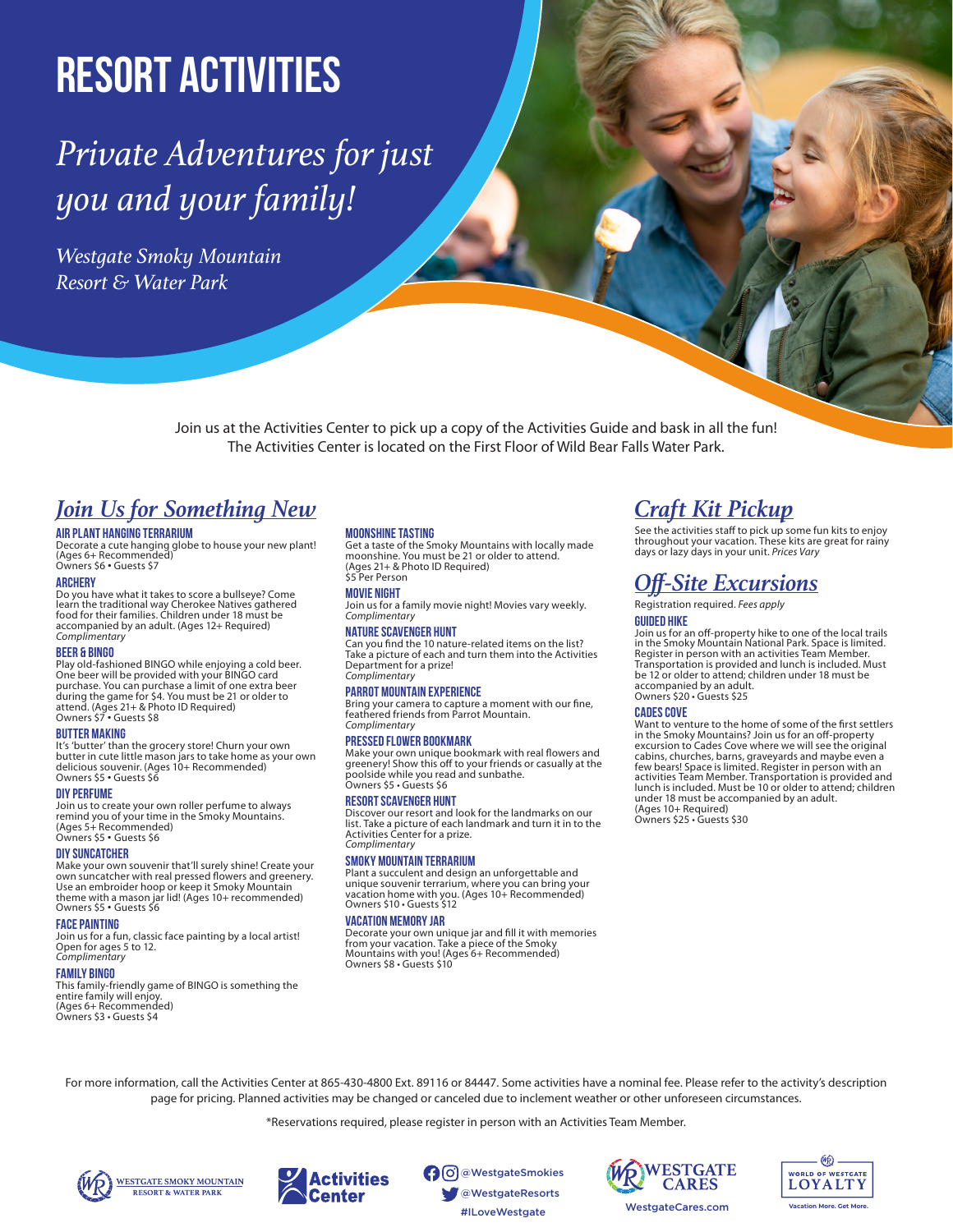# **Resort Activities**

## *Private Adventures for just you and your family!*

*Westgate Smoky Mountain Resort & Water Park*

> Join us at the Activities Center to pick up a copy of the Activities Guide and bask in all the fun! The Activities Center is located on the First Floor of Wild Bear Falls Water Park.

### *Join Us for Something New*

#### **AIR PLANT HANGING TERRARIUM**

Decorate a cute hanging globe to house your new plant! (Ages 6+ Recommended) Owners \$6 • Guests \$7

#### **Archery**

Do you have what it takes to score a bullseye? Come learn the traditional way Cherokee Natives gathered food for their families. Children under 18 must be accompanied by an adult. (Ages 12+ Required) *Complimentary*

#### **Beer & Bingo**

Play old-fashioned BINGO while enjoying a cold beer. One beer will be provided with your BINGO card purchase. You can purchase a limit of one extra beer during the game for \$4. You must be 21 or older to attend. (Ages 21+ & Photo ID Required) Owners \$7 • Guests \$8

#### **Butter Making**

It's 'butter' than the grocery store! Churn your own butter in cute little mason jars to take home as your own delicious souvenir. (Ages 10+ Recommended) Owners \$5 • Guests \$6

#### **diy perfume**

Join us to create your own roller perfume to always remind you of your time in the Smoky Mountains. (Ages 5+ Recommended) Owners \$5 • Guests \$6

#### **DIY Suncatcher**

Make your own souvenir that'll surely shine! Create your own suncatcher with real pressed flowers and greenery. Use an embroider hoop or keep it Smoky Mountain theme with a mason jar lid! (Ages 10+ recommended) Owners \$5 • Guests \$6

#### **FACE PAINTING**

Join us for a fun, classic face painting by a local artist! Open for ages 5 to 12. *Complimentary*

#### **FAMILY BINGO**

This family-friendly game of BINGO is something the entire family will enjoy. (Ages 6+ Recommended) Owners \$3 • Guests \$4

#### **Moonshine Tasting**

Get a taste of the Smoky Mountains with locally made moonshine. You must be 21 or older to attend. (Ages 21+ & Photo ID Required) \$5 Per Person

#### **movie night**

Join us for a family movie night! Movies vary weekly. *Complimentary*

#### **Nature Scavenger Hunt**

Can you find the 10 nature-related items on the list? Take a picture of each and turn them into the Activities Department for a prize! *Complimentary*

#### **Parrot mountain experience**

Bring your camera to capture a moment with our fine, feathered friends from Parrot Mountain. *Complimentary*

#### **PRESSED FLOWER BOOKMARK**

Make your own unique bookmark with real flowers and greenery! Show this off to your friends or casually at the poolside while you read and sunbathe. Owners \$5 • Guests \$6

#### **Resort scavenger hunt**

Discover our resort and look for the landmarks on our list. Take a picture of each landmark and turn it in to the Activities Center for a prize. *Complimentary*

#### **Smoky Mountain Terrarium**

Plant a succulent and design an unforgettable and unique souvenir terrarium, where you can bring your vacation home with you. (Ages 10+ Recommended) Owners \$10 • Guests \$12

#### **VACATION MEMORY JAR**

Decorate your own unique jar and fill it with memories from your vacation. Take a piece of the Smoky Mountains with you! (Ages 6+ Recommended) Owners \$8 • Guests \$10

### *Craft Kit Pickup*

See the activities staff to pick up some fun kits to enjoy throughout your vacation. These kits are great for rainy days or lazy days in your unit. *Prices Vary*

### *Off-Site Excursions*

#### Registration required. *Fees apply*

#### **Guided hike**

Join us for an off-property hike to one of the local trails in the Smoky Mountain National Park. Space is limited. Register in person with an activities Team Member. Transportation is provided and lunch is included. Must be 12 or older to attend; children under 18 must be accompanied by an adult. Owners \$20 • Guests \$25

#### **Cades Cove**

Want to venture to the home of some of the first settlers in the Smoky Mountains? Join us for an off-property excursion to Cades Cove where we will see the original cabins, churches, barns, graveyards and maybe even a few bears! Space is limited. Register in person with an activities Team Member. Transportation is provided and lunch is included. Must be 10 or older to attend; children under 18 must be accompanied by an adult. (Ages 10+ Required) Owners \$25 • Guests \$30

For more information, call the Activities Center at 865-430-4800 Ext. 89116 or 84447. Some activities have a nominal fee. Please refer to the activity's description page for pricing. Planned activities may be changed or canceled due to inclement weather or other unforeseen circumstances.

\*Reservations required, please register in person with an Activities Team Member.





#ILoveWestgate WestgateCares.com @WestgateSmokies @WestgateResorts